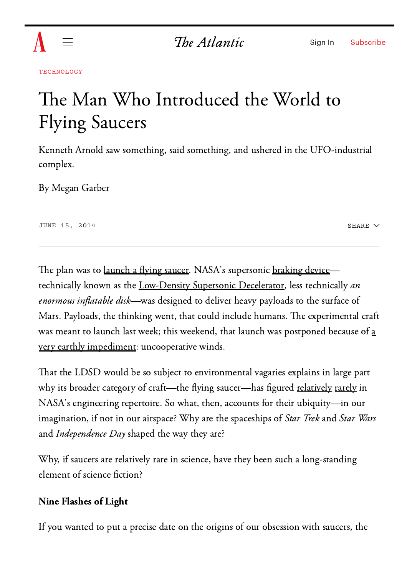

The Atlantic

[TECHNOLOGY](https://www.theatlantic.com/technology/)

## The Man Who Introduced the World to Flying Saucers

Kenneth Arnold saw something, said something, and ushered in the UFO-industrial complex.

By Megan [Garber](https://www.theatlantic.com/author/megan-garber/)

JUNE 15, 2014

SHARE  $\vee$ 

The plan was to <u>[launch](https://www.theatlantic.com/technology/archive/2014/06/nasa-is-about-to-test-a-mega-parachute-at-the-edge-of-space/372030/) a flying saucer</u>. NASA's supersonic <u>[braking](https://www.theatlantic.com/technology/archive/2014/06/nasa-is-about-to-test-a-mega-parachute-at-the-edge-of-space/372030/) device</u>— technically known as the [Low-Density](http://www.space.com/25490-mars-landing-inflatable-saucers-incredible-technology.html) Supersonic Decelerator, less technically  $an$ enormous inflatable disk—was designed to deliver heavy payloads to the surface of Mars. Payloads, the thinking went, that could include humans. The experimental craft was meant to launch last week; this weekend, that launch was postponed because of [a](https://www.theatlantic.com/technology/archive/2014/06/nasas-supersonic-parachute-is-running-out-of-time/372574/) very earthly [impediment:](https://www.theatlantic.com/technology/archive/2014/06/nasas-supersonic-parachute-is-running-out-of-time/372574/) uncooperative winds.

That the LDSD would be so subject to environmental vagaries explains in large part why its broader category of craft—the flying saucer—has figured [relatively](http://www.nytimes.com/1993/11/21/nyregion/for-ufo-fans-question-is-not-if-but-how-was-the-trip.html) [rarely](http://www.nytimes.com/1996/11/19/us/shuttle-crew-with-oldest-astronaut-is-set-to-fly.html) in NASA's engineering repertoire. So what, then, accounts for their ubiquity—in our imagination, if not in our airspace? Why are the spaceships of *Star Trek* and *Star Wars* and *Independence Dav* shaped the way they are?

Why, if saucers are relatively rare in science, have they been such a long-standing element of science fiction?

## Nine Flashes of Light

If you wanted to put a precise date on the origins of our obsession with saucers, the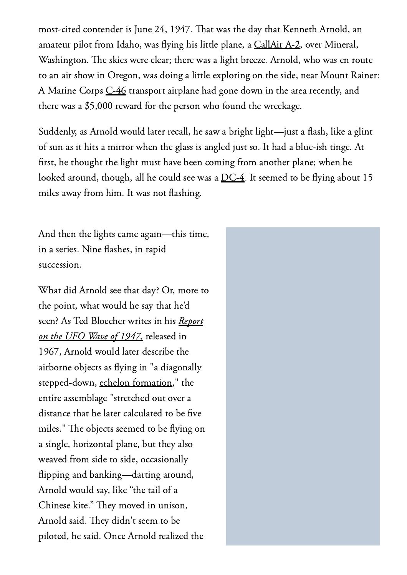most-cited contender is June 24, 1947. That was the day that Kenneth Arnold, an amateur pilot from Idaho, was flying his little plane, a [CallAir](http://en.wikipedia.org/wiki/CallAir_A-2) A-2, over Mineral, Washington. The skies were clear; there was a light breeze. Arnold, who was en route to an air show in Oregon, was doing a little exploring on the side, near Mount Rainer: A Marine Corps [C-46](http://en.wikipedia.org/wiki/C-46_Commando) transport airplane had gone down in the area recently, and there was a \$5,000 reward for the person who found the wreckage.

Suddenly, as Arnold would later recall, he saw a bright light—just a flash, like a glint of sun as it hits a mirror when the glass is angled just so. It had a blue-ish tinge. At first, he thought the light must have been coming from another plane; when he looked around, though, all he could see was a [DC-4.](http://en.wikipedia.org/wiki/Douglas_DC-4) It seemed to be flying about 15 miles away from him. It was not flashing.

And then the lights came again—this time, in a series. Nine flashes, in rapid succession.

What did Arnold see that day? Or, more to the point, what would he say that he'd seen? As Ted Bloecher writes in his *[Report](http://web.archive.org/web/20080413203646/http://www.mimufon.org/historical_folders/nicap_pages/ReportOnWaveOf1947.pdf)* on the UFO Wave of [1947,](http://web.archive.org/web/20080413203646/http://www.mimufon.org/historical_folders/nicap_pages/ReportOnWaveOf1947.pdf) released in 1967, Arnold would later describe the airborne obiects as flying in "a diagonally stepped-down, echelon [formation,](http://en.wikipedia.org/wiki/Echelon_formation)" the entire assemblage "stretched out over a distance that he later calculated to be five miles." The objects seemed to be flying on a single, horizontal plane, but they also weaved from side to side, occasionally 몭ipping and banking—darting around, Arnold would say, like "the tail of a Chinese kite." They moved in unison, Arnold said. They didn't seem to be piloted, he said. Once Arnold realized the

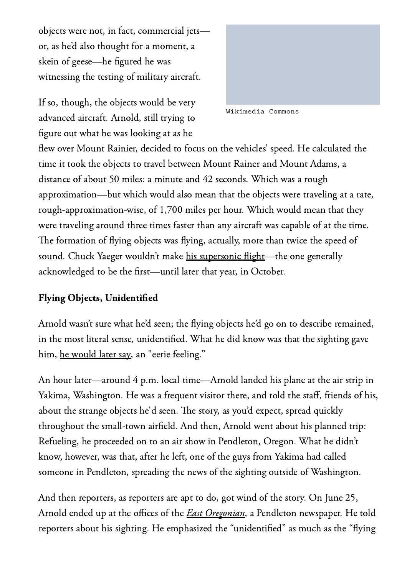objects were not, in fact, commercial jets or, as he'd also thought for a moment, a skein of geese—he figured he was witnessing the testing of military aircraft.

If so, though, the objects would be very advanced aircraft. Arnold, still trying to figure out what he was looking at as he



Wikimedia Commons

flew over Mount Rainier, decided to focus on the vehicles' speed. He calculated the time it took the objects to travel between Mount Rainer and Mount Adams, a distance of about 50 miles: a minute and 42 seconds. Which was a rough approximation—but which would also mean that the objects were traveling at a rate, rough-approximation-wise, of 1,700 miles per hour. Which would mean that they were traveling around three times faster than any aircraft was capable of at the time. The formation of flying objects was flying, actually, more than twice the speed of sound. Chuck Yaeger wouldn't make his [supersonic](http://en.wikipedia.org/wiki/Sound_barrier#Breaking_the_sound_barrier) flight—the one generally acknowledged to be the first—until later that year, in October.

## Flying Objects, Unidentified

Arnold wasn't sure what he'd seen; the flying objects he'd go on to describe remained, in the most literal sense, unidentified. What he did know was that the sighting gave him, he [would](http://darrenchannel.blogspot.com/2010/06/there-are-few-vantage-points-in-world.html) later say, an "eerie feeling."

An hour later—around 4 p.m. local time—Arnold landed his plane at the air strip in Yakima, Washington. He was a frequent visitor there, and told the staff, friends of his, about the strange objects he'd seen. The story, as you'd expect, spread quickly throughout the small-town airfield. And then, Arnold went about his planned trip: Refueling, he proceeded on to an air show in Pendleton, Oregon. What he didn't know, however, was that, after he left, one of the guys from Yakima had called someone in Pendleton, spreading the news of the sighting outside of Washington.

And then reporters, as reporters are apt to do, got wind of the story. On June 25, Arnold ended up at the offices of the *East Oregonian*, a Pendleton newspaper. He told reporters about his sighting. He emphasized the "unidentified" as much as the "flying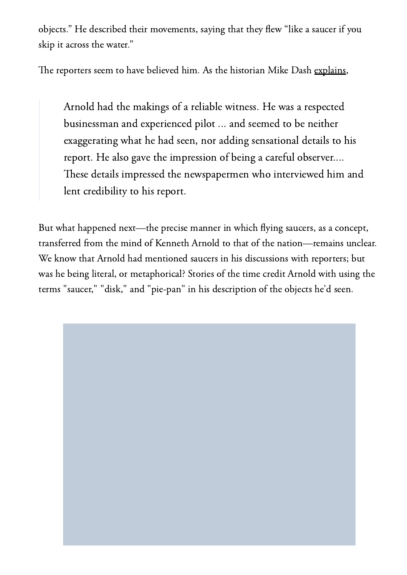obiects." He described their movements, saving that they flew "like a saucer if you skip it across the water."

The reporters seem to have believed him. As the historian Mike Dash [explains,](http://books.google.com/books/about/Borderlands.html?id=rmONkQEACAAJ)

Arnold had the makings of a reliable witness. He was a respected businessman and experienced pilot ... and seemed to be neither exaggerating what he had seen, nor adding sensational details to his report. He also gave the impression of being a careful observer.... These details impressed the newspapermen who interviewed him and lent credibility to his report.

But what happened next—the precise manner in which flying saucers, as a concept, transferred from the mind of Kenneth Arnold to that of the nation—remains unclear. We know that Arnold had mentioned saucers in his discussions with reporters; but was he being literal, or metaphorical? Stories of the time credit Arnold with using the terms "saucer," "disk," and "pie-pan" in his description of the objects he'd seen.

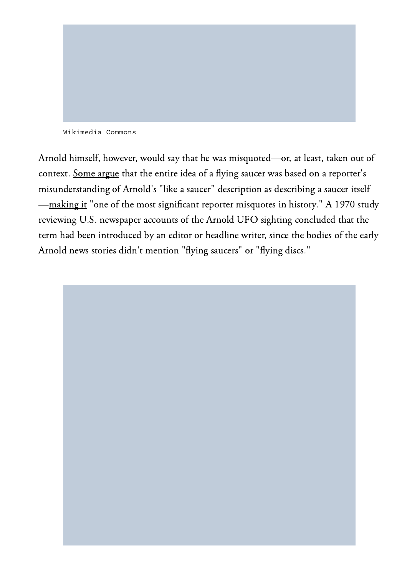

Wikimedia Commons

Arnold himself, however, would say that he was misquoted—or, at least, taken out of context. [Some](http://blog.chron.com/sciguy/2011/06/the-curious-tale-of-a-journalist-who-helped-spawn-the-ufo-industry/) argue that the entire idea of a flying saucer was based on a reporter's misunderstanding of Arnold's "like a saucer" description as describing a saucer itself —[making](http://blog.chron.com/sciguy/2011/06/the-curious-tale-of-a-journalist-who-helped-spawn-the-ufo-industry/) it "one of the most significant reporter misquotes in history." A 1970 study reviewing U.S. newspaper accounts of the Arnold UFO sighting concluded that the term had been introduced by an editor or headline writer, since the bodies of the early Arnold news stories didn't mention "flying saucers" or "flying discs."

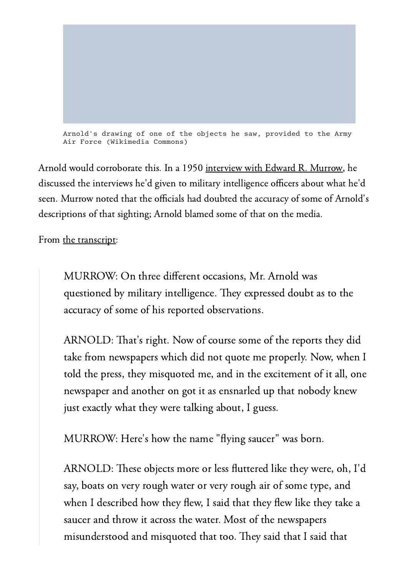

Arnold would corroborate this. In a 1950 [interview](http://www.project1947.com/fig/kamurrow.htm) with Edward R. Murrow, he discussed the interviews he'd given to military intelligence officers about what he'd seen. Murrow noted that the officials had doubted the accuracy of some of Arnold's descriptions of that sighting; Arnold blamed some of that on the media.

From the [transcript:](http://www.project1947.com/fig/kamurrow.htm)

MURROW: On three different occasions, Mr. Arnold was questioned by military intelligence. They expressed doubt as to the accuracy of some of his reported observations.

ARNOLD: That's right. Now of course some of the reports they did take from newspapers which did not quote me properly. Now, when I told the press, they misquoted me, and in the excitement of it all, one newspaper and another on got it as ensnarled up that nobody knew just exactly what they were talking about, I guess.

MURROW: Here's how the name "flying saucer" was born.

ARNOLD: These objects more or less fluttered like they were, oh, I'd say, boats on very rough water or very rough air of some type, and when I described how they flew. I said that they flew like they take a saucer and throw it across the water. Most of the newspapers misunderstood and misquoted that too. They said that I said that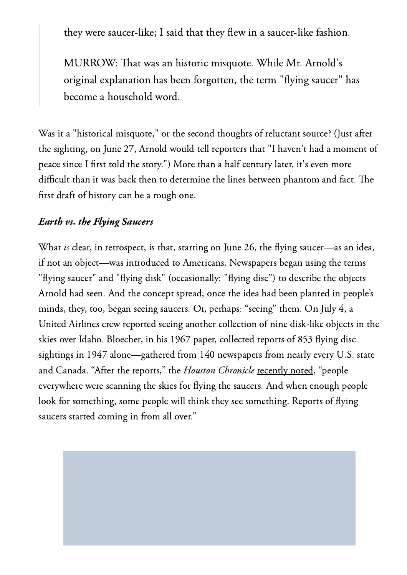they were saucer-like; I said that they flew in a saucer-like fashion.

MURROW: That was an historic misquote. While Mr. Arnold's original explanation has been forgotten, the term "flying saucer" has become a household word.

Was it a "historical misquote," or the second thoughts of reluctant source? (Just after the sighting, on June 27, Arnold would tell reporters that "I haven't had a moment of peace since I first told the story.") More than a half century later, it's even more difficult than it was back then to determine the lines between phantom and fact. The first draft of history can be a rough one.

## Earth vs. the Flying Saucers

What *is* clear, in retrospect, is that, starting on June 26, the flying saucer—as an idea, if not an object—was introduced to Americans. Newspapers began using the terms "flying saucer" and "flying disk" (occasionally: "flying disc") to describe the objects Arnold had seen. And the concept spread; once the idea had been planted in people's minds, they, too, began seeing saucers. Or, perhaps: "seeing" them. On July 4, a United Airlines crew reported seeing another collection of nine disk-like objects in the skies over Idaho. Bloecher, in his 1967 paper, collected reports of 853 flying disc sightings in 1947 alone—gathered from 140 newspapers from nearly every U.S. state and Canada. "After the reports," the *Houston Chronicle* [recently](http://blog.chron.com/sciguy/2011/06/the-curious-tale-of-a-journalist-who-helped-spawn-the-ufo-industry/) noted, "people everywhere were scanning the skies for flying the saucers. And when enough people look for something, some people will think they see something. Reports of flying saucers started coming in from all over."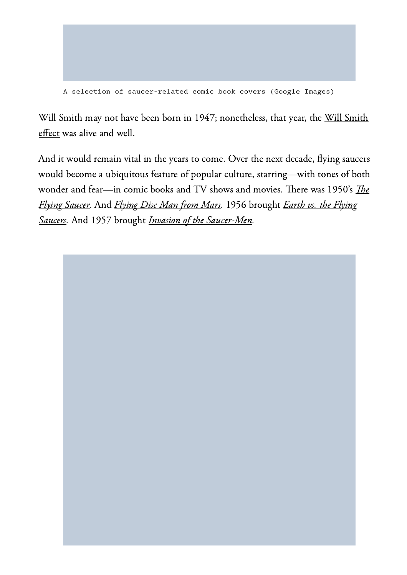

A selection of saucer-related comic book covers (Google Images)

Will Smith may not have been born in 1947; nonetheless, that year, the Will [Smith](http://www.theguardian.com/news/datablog/2009/aug/18/ufo-sightings-british-will-smith) [effect](http://www.theguardian.com/news/datablog/2009/aug/18/ufo-sightings-british-will-smith) was alive and well.

And it would remain vital in the years to come. Over the next decade, flying saucers would become a ubiquitous feature of popular culture, starring—with tones of both wond[e](http://en.wikipedia.org/wiki/The_Flying_Saucer)r and fear—in comic books and TV shows and movies. There was 1950's *The* Flying [Saucer](http://en.wikipedia.org/wiki/The_Flying_Saucer). And [Flying](http://en.wikipedia.org/wiki/Flying_Disc_Man_from_Mars) Disc Man from Mars. 1956 brought Earth vs. the [Flying](http://http//en.wikipedia.org/wiki/Earth_vs._the_Flying_Saucers) [Saucers.](http://http//en.wikipedia.org/wiki/Earth_vs._the_Flying_Saucers) And 1957 brought Invasion of the [Saucer-Men](http://en.wikipedia.org/wiki/Invasion_of_the_Saucer_Men).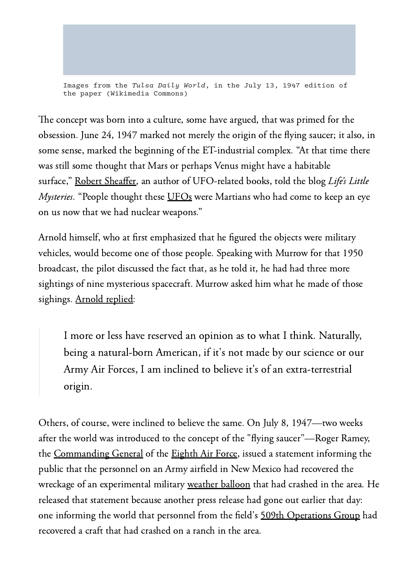Images from the Tulsa Daily World, in the July 13, 1947 edition of the paper (Wikimedia Commons)

The concept was born into a culture, some have argued, that was primed for the obsession. June 24, 1947 marked not merely the origin of the flying saucer; it also, in some sense, marked the beginning of the ET-industrial complex. "At that time there was still some thought that Mars or perhaps Venus might have a habitable surface," Robert [Sheaffer,](http://en.wikipedia.org/wiki/Robert_Sheaffer) an author of UFO-related books, told the blog *Life's Little Mysteries*. "People thought these [UFOs](http://en.wikipedia.org/wiki/Unidentified_flying_object) were Martians who had come to keep an eve on us now that we had nuclear weapons."

Arnold himself, who at first emphasized that he figured the objects were military vehicles, would become one of those people. Speaking with Murrow for that 1950 broadcast, the pilot discussed the fact that, as he told it, he had had three more sightings of nine mysterious spacecraft. Murrow asked him what he made of those sighings. [Arnold](http://www.project1947.com/fig/kamurrow.htm) replied:

I more or less have reserved an opinion as to what I think. Naturally, being a natural-born American, if it's not made by our science or our Army Air Forces, I am inclined to believe it's of an extra-terrestrial origin.

Others, of course, were inclined to believe the same. On July 8, 1947—two weeks after the world was introduced to the concept of the "flying saucer"—Roger Ramey, the [Commanding](http://en.wikipedia.org/wiki/Commanding_General) General of the [Eighth](http://en.wikipedia.org/wiki/Eighth_Air_Force) Air Force, issued a statement informing the public that the personnel on an Army airfield in New Mexico had recovered the wreckage of an experimental military [weather](http://en.wikipedia.org/wiki/Weather_balloon) balloon that had crashed in the area. He released that statement because another press release had gone out earlier that day: one informing the world that personnel from the field's 509th [Operations](http://en.wikipedia.org/wiki/509th_Operations_Group) Group had recovered a craft that had crashed on a ranch in the area.